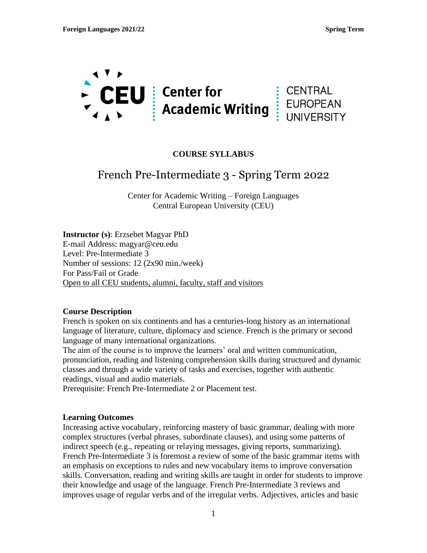

### **COURSE SYLLABUS**

# French Pre-Intermediate 3 - Spring Term 2022

Center for Academic Writing – Foreign Languages Central European University (CEU)

**Instructor (s)**: Erzsebet Magyar PhD E-mail Address: magyar@ceu.edu Level: Pre-Intermediate 3 Number of sessions: 12 (2x90 min./week) For Pass/Fail or Grade Open to all CEU students, alumni, faculty, staff and visitors

#### **Course Description**

French is spoken on six continents and has a centuries-long history as an international language of literature, culture, diplomacy and science. French is the primary or second language of many international organizations.

The aim of the course is to improve the learners' oral and written communication, pronunciation, reading and listening comprehension skills during structured and dynamic classes and through a wide variety of tasks and exercises, together with authentic readings, visual and audio materials.

Prerequisite: French Pre-Intermediate 2 or Placement test.

#### **Learning Outcomes**

Increasing active vocabulary, reinforcing mastery of basic grammar, dealing with more complex structures (verbal phrases, subordinate clauses), and using some patterns of indirect speech (e.g., repeating or relaying messages, giving reports, summarizing). French Pre-Intermediate 3 is foremost a review of some of the basic grammar items with an emphasis on exceptions to rules and new vocabulary items to improve conversation skills. Conversation, reading and writing skills are taught in order for students to improve their knowledge and usage of the language. French Pre-Intermediate 3 reviews and improves usage of regular verbs and of the irregular verbs. Adjectives, articles and basic